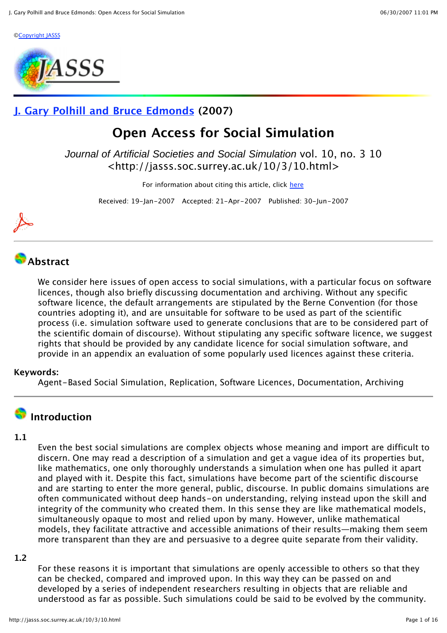©Copyright JASSS



## **J. Gary Polhill and Bruce Edmonds (2007)**

# **Open Access for Social Simulation**

Journal of Artificial Societies and Social Simulation vol. 10, no. 3 10 <http://jasss.soc.surrey.ac.uk/10/3/10.html>

For information about citing this article, click here

Received: 19-Jan-2007 Accepted: 21-Apr-2007 Published: 30-Jun-2007



## **Abstract**

We consider here issues of open access to social simulations, with a particular focus on software licences, though also briefly discussing documentation and archiving. Without any specific software licence, the default arrangements are stipulated by the Berne Convention (for those countries adopting it), and are unsuitable for software to be used as part of the scientific process (i.e. simulation software used to generate conclusions that are to be considered part of the scientific domain of discourse). Without stipulating any specific software licence, we suggest rights that should be provided by any candidate licence for social simulation software, and provide in an appendix an evaluation of some popularly used licences against these criteria.

#### **Keywords:**

Agent-Based Social Simulation, Replication, Software Licences, Documentation, Archiving

# **Introduction**

#### **1.1**

Even the best social simulations are complex objects whose meaning and import are difficult to discern. One may read a description of a simulation and get a vague idea of its properties but, like mathematics, one only thoroughly understands a simulation when one has pulled it apart and played with it. Despite this fact, simulations have become part of the scientific discourse and are starting to enter the more general, public, discourse. In public domains simulations are often communicated without deep hands-on understanding, relying instead upon the skill and integrity of the community who created them. In this sense they are like mathematical models, simultaneously opaque to most and relied upon by many. However, unlike mathematical models, they facilitate attractive and accessible animations of their results—making them seem more transparent than they are and persuasive to a degree quite separate from their validity.

#### **1.2**

For these reasons it is important that simulations are openly accessible to others so that they can be checked, compared and improved upon. In this way they can be passed on and developed by a series of independent researchers resulting in objects that are reliable and understood as far as possible. Such simulations could be said to be evolved by the community.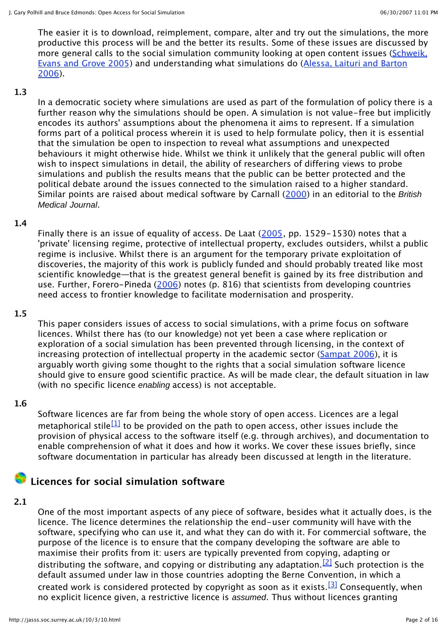The easier it is to download, reimplement, compare, alter and try out the simulations, the more productive this process will be and the better its results. Some of these issues are discussed by more general calls to the social simulation community looking at open content issues (Schweik, Evans and Grove 2005) and understanding what simulations do (Alessa, Laituri and Barton 2006).

#### **1.3**

In a democratic society where simulations are used as part of the formulation of policy there is a further reason why the simulations should be open. A simulation is not value-free but implicitly encodes its authors' assumptions about the phenomena it aims to represent. If a simulation forms part of a political process wherein it is used to help formulate policy, then it is essential that the simulation be open to inspection to reveal what assumptions and unexpected behaviours it might otherwise hide. Whilst we think it unlikely that the general public will often wish to inspect simulations in detail, the ability of researchers of differing views to probe simulations and publish the results means that the public can be better protected and the political debate around the issues connected to the simulation raised to a higher standard. Similar points are raised about medical software by Carnall (2000) in an editorial to the *British* Medical Journal.

#### **1.4**

Finally there is an issue of equality of access. De Laat (2005, pp. 1529-1530) notes that a 'private' licensing regime, protective of intellectual property, excludes outsiders, whilst a public regime is inclusive. Whilst there is an argument for the temporary private exploitation of discoveries, the majority of this work is publicly funded and should probably treated like most scientific knowledge—that is the greatest general benefit is gained by its free distribution and use. Further, Forero-Pineda (2006) notes (p. 816) that scientists from developing countries need access to frontier knowledge to facilitate modernisation and prosperity.

#### **1.5**

This paper considers issues of access to social simulations, with a prime focus on software licences. Whilst there has (to our knowledge) not yet been a case where replication or exploration of a social simulation has been prevented through licensing, in the context of increasing protection of intellectual property in the academic sector (Sampat 2006), it is arguably worth giving some thought to the rights that a social simulation software licence should give to ensure good scientific practice. As will be made clear, the default situation in law (with no specific licence enabling access) is not acceptable.

#### **1.6**

Software licences are far from being the whole story of open access. Licences are a legal metaphorical stile<sup>[1]</sup> to be provided on the path to open access, other issues include the provision of physical access to the software itself (e.g. through archives), and documentation to enable comprehension of what it does and how it works. We cover these issues briefly, since software documentation in particular has already been discussed at length in the literature.

### **Licences for social simulation software**

#### **2.1**

One of the most important aspects of any piece of software, besides what it actually does, is the licence. The licence determines the relationship the end-user community will have with the software, specifying who can use it, and what they can do with it. For commercial software, the purpose of the licence is to ensure that the company developing the software are able to maximise their profits from it: users are typically prevented from copying, adapting or distributing the software, and copying or distributing any adaptation.<sup>[2]</sup> Such protection is the default assumed under law in those countries adopting the Berne Convention, in which a created work is considered protected by copyright as soon as it exists.<sup>[3]</sup> Consequently, when no explicit licence given, a restrictive licence is assumed. Thus without licences granting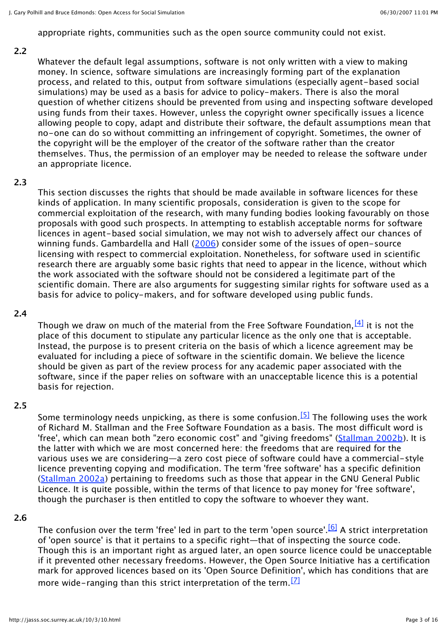appropriate rights, communities such as the open source community could not exist.

#### **2.2**

Whatever the default legal assumptions, software is not only written with a view to making money. In science, software simulations are increasingly forming part of the explanation process, and related to this, output from software simulations (especially agent-based social simulations) may be used as a basis for advice to policy-makers. There is also the moral question of whether citizens should be prevented from using and inspecting software developed using funds from their taxes. However, unless the copyright owner specifically issues a licence allowing people to copy, adapt and distribute their software, the default assumptions mean that no-one can do so without committing an infringement of copyright. Sometimes, the owner of the copyright will be the employer of the creator of the software rather than the creator themselves. Thus, the permission of an employer may be needed to release the software under an appropriate licence.

#### **2.3**

This section discusses the rights that should be made available in software licences for these kinds of application. In many scientific proposals, consideration is given to the scope for commercial exploitation of the research, with many funding bodies looking favourably on those proposals with good such prospects. In attempting to establish acceptable norms for software licences in agent-based social simulation, we may not wish to adversely affect our chances of winning funds. Gambardella and Hall (2006) consider some of the issues of open-source licensing with respect to commercial exploitation. Nonetheless, for software used in scientific research there are arguably some basic rights that need to appear in the licence, without which the work associated with the software should not be considered a legitimate part of the scientific domain. There are also arguments for suggesting similar rights for software used as a basis for advice to policy-makers, and for software developed using public funds.

#### **2.4**

Though we draw on much of the material from the Free Software Foundation,  $[4]$  it is not the place of this document to stipulate any particular licence as the only one that is acceptable. Instead, the purpose is to present criteria on the basis of which a licence agreement may be evaluated for including a piece of software in the scientific domain. We believe the licence should be given as part of the review process for any academic paper associated with the software, since if the paper relies on software with an unacceptable licence this is a potential basis for rejection.

#### **2.5**

Some terminology needs unpicking, as there is some confusion.<sup>[5]</sup> The following uses the work of Richard M. Stallman and the Free Software Foundation as a basis. The most difficult word is 'free', which can mean both "zero economic cost" and "giving freedoms" (Stallman 2002b). It is the latter with which we are most concerned here: the freedoms that are required for the various uses we are considering—a zero cost piece of software could have a commercial-style licence preventing copying and modification. The term 'free software' has a specific definition (Stallman 2002a) pertaining to freedoms such as those that appear in the GNU General Public Licence. It is quite possible, within the terms of that licence to pay money for 'free software', though the purchaser is then entitled to copy the software to whoever they want.

#### **2.6**

The confusion over the term 'free' led in part to the term 'open source'.<sup>[6]</sup> A strict interpretation of 'open source' is that it pertains to a specific right—that of inspecting the source code. Though this is an important right as argued later, an open source licence could be unacceptable if it prevented other necessary freedoms. However, the Open Source Initiative has a certification mark for approved licences based on its 'Open Source Definition', which has conditions that are more wide-ranging than this strict interpretation of the term.  $\boxed{2}$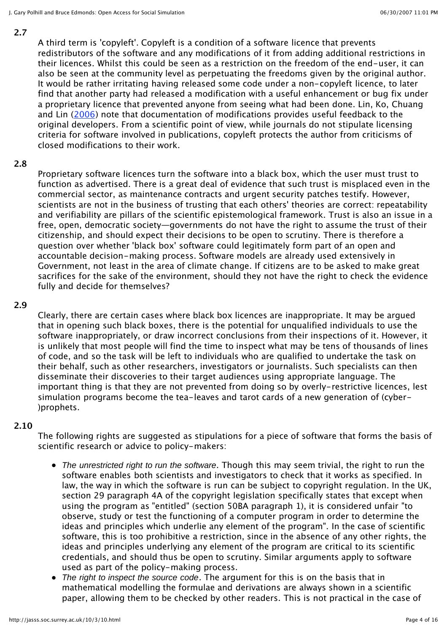#### **2.7**

A third term is 'copyleft'. Copyleft is a condition of a software licence that prevents redistributors of the software and any modifications of it from adding additional restrictions in their licences. Whilst this could be seen as a restriction on the freedom of the end-user, it can also be seen at the community level as perpetuating the freedoms given by the original author. It would be rather irritating having released some code under a non-copyleft licence, to later find that another party had released a modification with a useful enhancement or bug fix under a proprietary licence that prevented anyone from seeing what had been done. Lin, Ko, Chuang and Lin (2006) note that documentation of modifications provides useful feedback to the original developers. From a scientific point of view, while journals do not stipulate licensing criteria for software involved in publications, copyleft protects the author from criticisms of closed modifications to their work.

#### **2.8**

Proprietary software licences turn the software into a black box, which the user must trust to function as advertised. There is a great deal of evidence that such trust is misplaced even in the commercial sector, as maintenance contracts and urgent security patches testify. However, scientists are not in the business of trusting that each others' theories are correct: repeatability and verifiability are pillars of the scientific epistemological framework. Trust is also an issue in a free, open, democratic society—governments do not have the right to assume the trust of their citizenship, and should expect their decisions to be open to scrutiny. There is therefore a question over whether 'black box' software could legitimately form part of an open and accountable decision-making process. Software models are already used extensively in Government, not least in the area of climate change. If citizens are to be asked to make great sacrifices for the sake of the environment, should they not have the right to check the evidence fully and decide for themselves?

#### **2.9**

Clearly, there are certain cases where black box licences are inappropriate. It may be argued that in opening such black boxes, there is the potential for unqualified individuals to use the software inappropriately, or draw incorrect conclusions from their inspections of it. However, it is unlikely that most people will find the time to inspect what may be tens of thousands of lines of code, and so the task will be left to individuals who are qualified to undertake the task on their behalf, such as other researchers, investigators or journalists. Such specialists can then disseminate their discoveries to their target audiences using appropriate language. The important thing is that they are not prevented from doing so by overly-restrictive licences, lest simulation programs become the tea-leaves and tarot cards of a new generation of (cyber- )prophets.

#### **2.10**

The following rights are suggested as stipulations for a piece of software that forms the basis of scientific research or advice to policy-makers:

- The unrestricted right to run the software. Though this may seem trivial, the right to run the software enables both scientists and investigators to check that it works as specified. In law, the way in which the software is run can be subject to copyright regulation. In the UK, section 29 paragraph 4A of the copyright legislation specifically states that except when using the program as "entitled" (section 50BA paragraph 1), it is considered unfair "to observe, study or test the functioning of a computer program in order to determine the ideas and principles which underlie any element of the program". In the case of scientific software, this is too prohibitive a restriction, since in the absence of any other rights, the ideas and principles underlying any element of the program are critical to its scientific credentials, and should thus be open to scrutiny. Similar arguments apply to software used as part of the policy-making process.
- The right to inspect the source code. The argument for this is on the basis that in mathematical modelling the formulae and derivations are always shown in a scientific paper, allowing them to be checked by other readers. This is not practical in the case of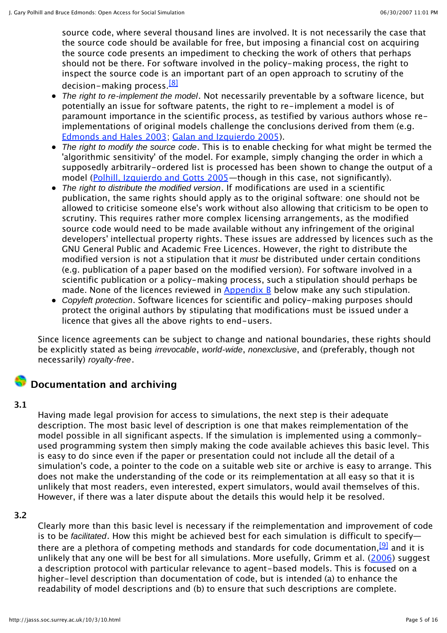source code, where several thousand lines are involved. It is not necessarily the case that the source code should be available for free, but imposing a financial cost on acquiring the source code presents an impediment to checking the work of others that perhaps should not be there. For software involved in the policy-making process, the right to inspect the source code is an important part of an open approach to scrutiny of the decision-making process.<sup>[8]</sup>

- The right to re-implement the model. Not necessarily preventable by a software licence, but potentially an issue for software patents, the right to re-implement a model is of paramount importance in the scientific process, as testified by various authors whose reimplementations of original models challenge the conclusions derived from them (e.g. Edmonds and Hales 2003; Galan and Izquierdo 2005).
- The right to modify the source code. This is to enable checking for what might be termed the 'algorithmic sensitivity' of the model. For example, simply changing the order in which a supposedly arbitrarily-ordered list is processed has been shown to change the output of a model (Polhill, Izquierdo and Gotts 2005—though in this case, not significantly).
- The right to distribute the modified version. If modifications are used in a scientific publication, the same rights should apply as to the original software: one should not be allowed to criticise someone else's work without also allowing that criticism to be open to scrutiny. This requires rather more complex licensing arrangements, as the modified source code would need to be made available without any infringement of the original developers' intellectual property rights. These issues are addressed by licences such as the GNU General Public and Academic Free Licences. However, the right to distribute the modified version is not a stipulation that it must be distributed under certain conditions (e.g. publication of a paper based on the modified version). For software involved in a scientific publication or a policy-making process, such a stipulation should perhaps be made. None of the licences reviewed in  $\Delta$ ppendix  $\Delta$  below make any such stipulation.
- Copyleft protection. Software licences for scientific and policy-making purposes should protect the original authors by stipulating that modifications must be issued under a licence that gives all the above rights to end-users.

Since licence agreements can be subject to change and national boundaries, these rights should be explicitly stated as being *irrevocable, world-wide, nonexclusive*, and (preferably, though not necessarily) royalty-free.

## **Documentation and archiving**

#### **3.1**

Having made legal provision for access to simulations, the next step is their adequate description. The most basic level of description is one that makes reimplementation of the model possible in all significant aspects. If the simulation is implemented using a commonlyused programming system then simply making the code available achieves this basic level. This is easy to do since even if the paper or presentation could not include all the detail of a simulation's code, a pointer to the code on a suitable web site or archive is easy to arrange. This does not make the understanding of the code or its reimplementation at all easy so that it is unlikely that most readers, even interested, expert simulators, would avail themselves of this. However, if there was a later dispute about the details this would help it be resolved.

#### **3.2**

Clearly more than this basic level is necessary if the reimplementation and improvement of code is to be facilitated. How this might be achieved best for each simulation is difficult to specify there are a plethora of competing methods and standards for code documentation, <sup>[9]</sup> and it is unlikely that any one will be best for all simulations. More usefully, Grimm et al. (2006) suggest a description protocol with particular relevance to agent-based models. This is focused on a higher-level description than documentation of code, but is intended (a) to enhance the readability of model descriptions and (b) to ensure that such descriptions are complete.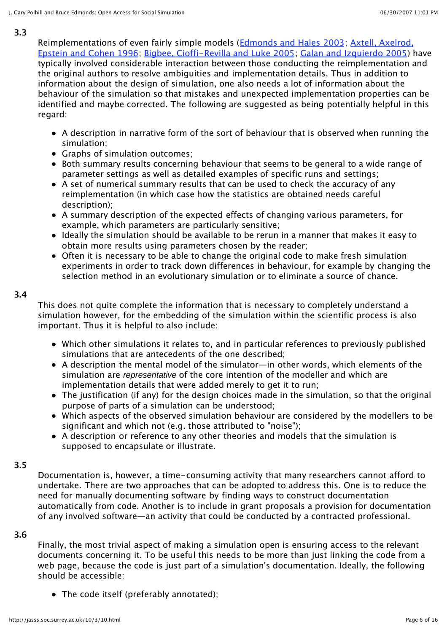#### **3.3**

Reimplementations of even fairly simple models (Edmonds and Hales 2003; Axtell, Axelrod, Epstein and Cohen 1996; Bigbee, Cioffi-Revilla and Luke 2005; Galan and Izquierdo 2005) have typically involved considerable interaction between those conducting the reimplementation and the original authors to resolve ambiguities and implementation details. Thus in addition to information about the design of simulation, one also needs a lot of information about the behaviour of the simulation so that mistakes and unexpected implementation properties can be identified and maybe corrected. The following are suggested as being potentially helpful in this regard:

- A description in narrative form of the sort of behaviour that is observed when running the simulation;
- Graphs of simulation outcomes:
- Both summary results concerning behaviour that seems to be general to a wide range of parameter settings as well as detailed examples of specific runs and settings;
- A set of numerical summary results that can be used to check the accuracy of any reimplementation (in which case how the statistics are obtained needs careful description);
- A summary description of the expected effects of changing various parameters, for example, which parameters are particularly sensitive;
- Ideally the simulation should be available to be rerun in a manner that makes it easy to obtain more results using parameters chosen by the reader;
- Often it is necessary to be able to change the original code to make fresh simulation experiments in order to track down differences in behaviour, for example by changing the selection method in an evolutionary simulation or to eliminate a source of chance.

#### **3.4**

This does not quite complete the information that is necessary to completely understand a simulation however, for the embedding of the simulation within the scientific process is also important. Thus it is helpful to also include:

- Which other simulations it relates to, and in particular references to previously published simulations that are antecedents of the one described;
- A description the mental model of the simulator—in other words, which elements of the simulation are *representative* of the core intention of the modeller and which are implementation details that were added merely to get it to run;
- The justification (if any) for the design choices made in the simulation, so that the original purpose of parts of a simulation can be understood;
- Which aspects of the observed simulation behaviour are considered by the modellers to be significant and which not (e.g. those attributed to "noise");
- A description or reference to any other theories and models that the simulation is supposed to encapsulate or illustrate.

#### **3.5**

Documentation is, however, a time-consuming activity that many researchers cannot afford to undertake. There are two approaches that can be adopted to address this. One is to reduce the need for manually documenting software by finding ways to construct documentation automatically from code. Another is to include in grant proposals a provision for documentation of any involved software—an activity that could be conducted by a contracted professional.

#### **3.6**

Finally, the most trivial aspect of making a simulation open is ensuring access to the relevant documents concerning it. To be useful this needs to be more than just linking the code from a web page, because the code is just part of a simulation's documentation. Ideally, the following should be accessible:

The code itself (preferably annotated);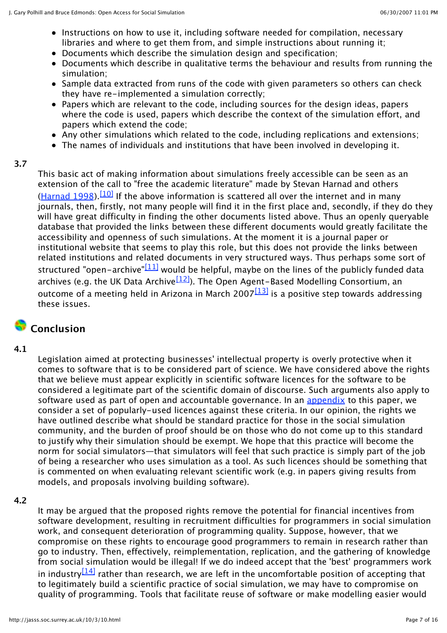- Instructions on how to use it, including software needed for compilation, necessary libraries and where to get them from, and simple instructions about running it;
- Documents which describe the simulation design and specification;
- Documents which describe in qualitative terms the behaviour and results from running the simulation;
- Sample data extracted from runs of the code with given parameters so others can check they have re-implemented a simulation correctly;
- Papers which are relevant to the code, including sources for the design ideas, papers where the code is used, papers which describe the context of the simulation effort, and papers which extend the code;
- Any other simulations which related to the code, including replications and extensions;
- The names of individuals and institutions that have been involved in developing it.

#### **3.7**

This basic act of making information about simulations freely accessible can be seen as an extension of the call to "free the academic literature" made by Stevan Harnad and others (Harnad 1998).<sup>[10]</sup> If the above information is scattered all over the internet and in many journals, then, firstly, not many people will find it in the first place and, secondly, if they do they will have great difficulty in finding the other documents listed above. Thus an openly queryable database that provided the links between these different documents would greatly facilitate the accessibility and openness of such simulations. At the moment it is a journal paper or institutional website that seems to play this role, but this does not provide the links between related institutions and related documents in very structured ways. Thus perhaps some sort of structured "open-archive" $\frac{111}{21}$  would be helpful, maybe on the lines of the publicly funded data archives (e.g. the UK Data Archive $\frac{[12]}{[12]}$ ). The Open Agent-Based Modelling Consortium, an outcome of a meeting held in Arizona in March 2007 $\frac{13}{13}$  is a positive step towards addressing these issues.

## **Conclusion**

#### **4.1**

Legislation aimed at protecting businesses' intellectual property is overly protective when it comes to software that is to be considered part of science. We have considered above the rights that we believe must appear explicitly in scientific software licences for the software to be considered a legitimate part of the scientific domain of discourse. Such arguments also apply to software used as part of open and accountable governance. In an appendix to this paper, we consider a set of popularly-used licences against these criteria. In our opinion, the rights we have outlined describe what should be standard practice for those in the social simulation community, and the burden of proof should be on those who do not come up to this standard to justify why their simulation should be exempt. We hope that this practice will become the norm for social simulators—that simulators will feel that such practice is simply part of the job of being a researcher who uses simulation as a tool. As such licences should be something that is commented on when evaluating relevant scientific work (e.g. in papers giving results from models, and proposals involving building software).

#### **4.2**

It may be argued that the proposed rights remove the potential for financial incentives from software development, resulting in recruitment difficulties for programmers in social simulation work, and consequent deterioration of programming quality. Suppose, however, that we compromise on these rights to encourage good programmers to remain in research rather than go to industry. Then, effectively, reimplementation, replication, and the gathering of knowledge from social simulation would be illegal! If we do indeed accept that the 'best' programmers work in industry  $\left[14\right]$  rather than research, we are left in the uncomfortable position of accepting that to legitimately build a scientific practice of social simulation, we may have to compromise on quality of programming. Tools that facilitate reuse of software or make modelling easier would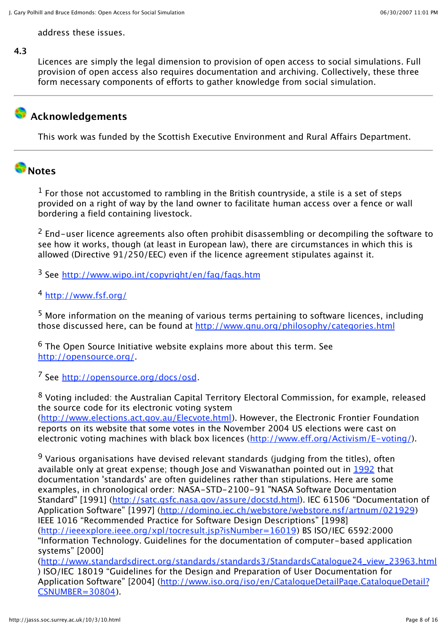address these issues.

#### **4.3**

Licences are simply the legal dimension to provision of open access to social simulations. Full provision of open access also requires documentation and archiving. Collectively, these three form necessary components of efforts to gather knowledge from social simulation.

# **Acknowledgements**

This work was funded by the Scottish Executive Environment and Rural Affairs Department.

## **Notes**

 $<sup>1</sup>$  For those not accustomed to rambling in the British countryside, a stile is a set of steps</sup> provided on a right of way by the land owner to facilitate human access over a fence or wall bordering a field containing livestock.

 $2$  End-user licence agreements also often prohibit disassembling or decompiling the software to see how it works, though (at least in European law), there are circumstances in which this is allowed (Directive 91/250/EEC) even if the licence agreement stipulates against it.

<sup>3</sup> See http://www.wipo.int/copyright/en/faq/faqs.htm

#### <sup>4</sup> http://www.fsf.org/

<sup>5</sup> More information on the meaning of various terms pertaining to software licences, including those discussed here, can be found at http://www.gnu.org/philosophy/categories.html

 $6$  The Open Source Initiative website explains more about this term. See http://opensource.org/.

<sup>7</sup> See http://opensource.org/docs/osd.

<sup>8</sup> Voting included: the Australian Capital Territory Electoral Commission, for example, released the source code for its electronic voting system

(http://www.elections.act.gov.au/Elecvote.html). However, the Electronic Frontier Foundation reports on its website that some votes in the November 2004 US elections were cast on electronic voting machines with black box licences (http://www.eff.org/Activism/E-voting/).

<sup>9</sup> Various organisations have devised relevant standards (judging from the titles), often available only at great expense; though Jose and Viswanathan pointed out in 1992 that documentation 'standards' are often guidelines rather than stipulations. Here are some examples, in chronological order: NASA-STD-2100-91 "NASA Software Documentation Standard" [1991] (http://satc.gsfc.nasa.gov/assure/docstd.html). IEC 61506 "Documentation of Application Software" [1997] (http://domino.iec.ch/webstore/webstore.nsf/artnum/021929) IEEE 1016 "Recommended Practice for Software Design Descriptions" [1998] (http://ieeexplore.ieee.org/xpl/tocresult.jsp?isNumber=16019) BS ISO/IEC 6592:2000 "Information Technology. Guidelines for the documentation of computer-based application systems" [2000] (http://www.standardsdirect.org/standards/standards3/StandardsCatalogue24\_view\_23963.html ) ISO/IEC 18019 "Guidelines for the Design and Preparation of User Documentation for Application Software" [2004] (http://www.iso.org/iso/en/CatalogueDetailPage.CatalogueDetail?

CSNUMBER=30804).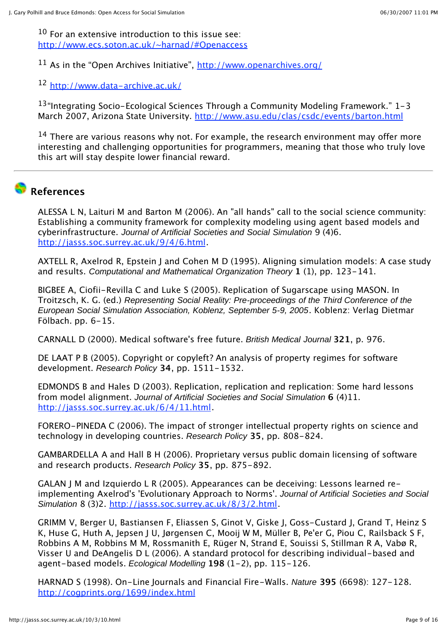$10$  For an extensive introduction to this issue see: http://www.ecs.soton.ac.uk/~harnad/#Openaccess

<sup>11</sup> As in the "Open Archives Initiative",  $\frac{http://www.openarchives.org/}{http://www.openarchives.org/}$ 

<sup>12</sup> http://www.data-archive.ac.uk/

13"Integrating Socio-Ecological Sciences Through a Community Modeling Framework." 1-3 March 2007, Arizona State University. http://www.asu.edu/clas/csdc/events/barton.html

 $14$  There are various reasons why not. For example, the research environment may offer more interesting and challenging opportunities for programmers, meaning that those who truly love this art will stay despite lower financial reward.

## **References**

ALESSA L N, Laituri M and Barton M (2006). An "all hands" call to the social science community: Establishing a community framework for complexity modeling using agent based models and cyberinfrastructure. Journal of Artificial Societies and Social Simulation 9 (4)6. http://jasss.soc.surrey.ac.uk/9/4/6.html.

AXTELL R, Axelrod R, Epstein J and Cohen M D (1995). Aligning simulation models: A case study and results. Computational and Mathematical Organization Theory **1** (1), pp. 123-141.

BIGBEE A, Ciofii-Revilla C and Luke S (2005). Replication of Sugarscape using MASON. In Troitzsch, K. G. (ed.) Representing Social Reality: Pre-proceedings of the Third Conference of the European Social Simulation Association, Koblenz, September 5-9, 2005. Koblenz: Verlag Dietmar Fölbach. pp. 6-15.

CARNALL D (2000). Medical software's free future. British Medical Journal **321**, p. 976.

DE LAAT P B (2005). Copyright or copyleft? An analysis of property regimes for software development. Research Policy **34**, pp. 1511-1532.

EDMONDS B and Hales D (2003). Replication, replication and replication: Some hard lessons from model alignment. Journal of Artificial Societies and Social Simulation **6** (4)11. http://jasss.soc.surrey.ac.uk/6/4/11.html.

FORERO-PINEDA C (2006). The impact of stronger intellectual property rights on science and technology in developing countries. Research Policy **35**, pp. 808-824.

GAMBARDELLA A and Hall B H (2006). Proprietary versus public domain licensing of software and research products. Research Policy **35**, pp. 875-892.

GALAN J M and Izquierdo L R (2005). Appearances can be deceiving: Lessons learned reimplementing Axelrod's 'Evolutionary Approach to Norms'. Journal of Artificial Societies and Social Simulation 8 (3)2. http://jasss.soc.surrey.ac.uk/8/3/2.html.

GRIMM V, Berger U, Bastiansen F, Eliassen S, Ginot V, Giske J, Goss-Custard J, Grand T, Heinz S K, Huse G, Huth A, Jepsen J U, Jørgensen C, Mooij W M, Müller B, Pe'er G, Piou C, Railsback S F, Robbins A M, Robbins M M, Rossmanith E, Rüger N, Strand E, Souissi S, Stillman R A, Vabø R, Visser U and DeAngelis D L (2006). A standard protocol for describing individual-based and agent-based models. Ecological Modelling **198** (1-2), pp. 115-126.

HARNAD S (1998). On-Line Journals and Financial Fire-Walls. Nature **395** (6698): 127-128. http://cogprints.org/1699/index.html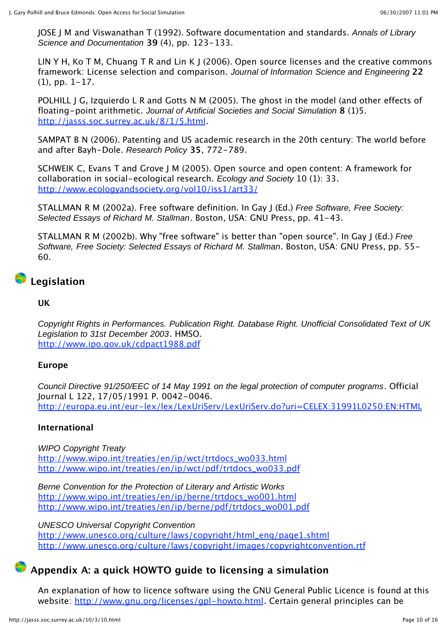JOSE J M and Viswanathan T (1992). Software documentation and standards. Annals of Library Science and Documentation **39** (4), pp. 123-133.

LIN Y H, Ko T M, Chuang T R and Lin K J (2006). Open source licenses and the creative commons framework: License selection and comparison. Journal of Information Science and Engineering **22** (1), pp. 1-17.

POLHILL J G, Izquierdo L R and Gotts N M (2005). The ghost in the model (and other effects of floating-point arithmetic. Journal of Artificial Societies and Social Simulation **8** (1)5. http://jasss.soc.surrey.ac.uk/8/1/5.html.

SAMPAT B N (2006). Patenting and US academic research in the 20th century: The world before and after Bayh-Dole. Research Policy **35**, 772-789.

SCHWEIK C, Evans T and Grove J M (2005). Open source and open content: A framework for collaboration in social-ecological research. Ecology and Society 10 (1): 33. http://www.ecologyandsociety.org/vol10/iss1/art33/

STALLMAN R M (2002a). Free software definition. In Gay J (Ed.) Free Software, Free Society: Selected Essays of Richard M. Stallman. Boston, USA: GNU Press, pp. 41-43.

STALLMAN R M (2002b). Why "free software" is better than "open source". In Gay J (Ed.) Free Software, Free Society: Selected Essays of Richard M. Stallman. Boston, USA: GNU Press, pp. 55- 60.

## **Legislation**

#### **UK**

Copyright Rights in Performances. Publication Right. Database Right. Unofficial Consolidated Text of UK Legislation to 31st December 2003. HMSO. http://www.ipo.gov.uk/cdpact1988.pdf

#### **Europe**

Council Directive 91/250/EEC of 14 May 1991 on the legal protection of computer programs. Official Journal L 122, 17/05/1991 P. 0042-0046. http://europa.eu.int/eur-lex/lex/LexUriServ/LexUriServ.do?uri=CELEX:31991L0250:EN:HTML

#### **International**

WIPO Copyright Treaty http://www.wipo.int/treaties/en/ip/wct/trtdocs\_wo033.html http://www.wipo.int/treaties/en/ip/wct/pdf/trtdocs\_wo033.pdf

Berne Convention for the Protection of Literary and Artistic Works http://www.wipo.int/treaties/en/ip/berne/trtdocs\_wo001.html http://www.wipo.int/treaties/en/ip/berne/pdf/trtdocs\_wo001.pdf

UNESCO Universal Copyright Convention http://www.unesco.org/culture/laws/copyright/html\_eng/page1.shtml http://www.unesco.org/culture/laws/copyright/images/copyrightconvention.rtf

### **Appendix A: a quick HOWTO guide to licensing a simulation**

An explanation of how to licence software using the GNU General Public Licence is found at this website: http://www.gnu.org/licenses/gpl-howto.html. Certain general principles can be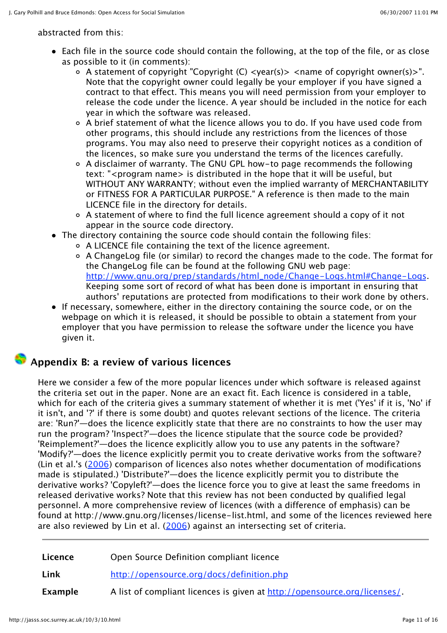abstracted from this:

- Each file in the source code should contain the following, at the top of the file, or as close as possible to it (in comments):
	- A statement of copyright "Copyright (C) <year(s)> <name of copyright owner(s)>". Note that the copyright owner could legally be your employer if you have signed a contract to that effect. This means you will need permission from your employer to release the code under the licence. A year should be included in the notice for each year in which the software was released.
	- A brief statement of what the licence allows you to do. If you have used code from other programs, this should include any restrictions from the licences of those programs. You may also need to preserve their copyright notices as a condition of the licences, so make sure you understand the terms of the licences carefully.
	- A disclaimer of warranty. The GNU GPL how-to page recommends the following text: "<program name> is distributed in the hope that it will be useful, but WITHOUT ANY WARRANTY; without even the implied warranty of MERCHANTABILITY or FITNESS FOR A PARTICULAR PURPOSE." A reference is then made to the main LICENCE file in the directory for details.
	- A statement of where to find the full licence agreement should a copy of it not appear in the source code directory.
- The directory containing the source code should contain the following files:
	- A LICENCE file containing the text of the licence agreement.
	- A ChangeLog file (or similar) to record the changes made to the code. The format for the ChangeLog file can be found at the following GNU web page: http://www.gnu.org/prep/standards/html\_node/Change-Logs.html#Change-Logs. Keeping some sort of record of what has been done is important in ensuring that authors' reputations are protected from modifications to their work done by others.
- If necessary, somewhere, either in the directory containing the source code, or on the webpage on which it is released, it should be possible to obtain a statement from your employer that you have permission to release the software under the licence you have given it.

## **Appendix B: a review of various licences**

Here we consider a few of the more popular licences under which software is released against the criteria set out in the paper. None are an exact fit. Each licence is considered in a table, which for each of the criteria gives a summary statement of whether it is met ('Yes' if it is, 'No' if it isn't, and '?' if there is some doubt) and quotes relevant sections of the licence. The criteria are: 'Run?'—does the licence explicitly state that there are no constraints to how the user may run the program? 'Inspect?'—does the licence stipulate that the source code be provided? 'Reimplement?'—does the licence explicitly allow you to use any patents in the software? 'Modify?'—does the licence explicitly permit you to create derivative works from the software? (Lin et al.'s (2006) comparison of licences also notes whether documentation of modifications made is stipulated.) 'Distribute?'—does the licence explicitly permit you to distribute the derivative works? 'Copyleft?'—does the licence force you to give at least the same freedoms in released derivative works? Note that this review has not been conducted by qualified legal personnel. A more comprehensive review of licences (with a difference of emphasis) can be found at http://www.gnu.org/licenses/license-list.html, and some of the licences reviewed here are also reviewed by Lin et al.  $(2006)$  against an intersecting set of criteria.

| Licence | Open Source Definition compliant licence                                 |
|---------|--------------------------------------------------------------------------|
| Link    | http://opensource.org/docs/definition.php                                |
| Example | A list of compliant licences is given at http://opensource.org/licenses/ |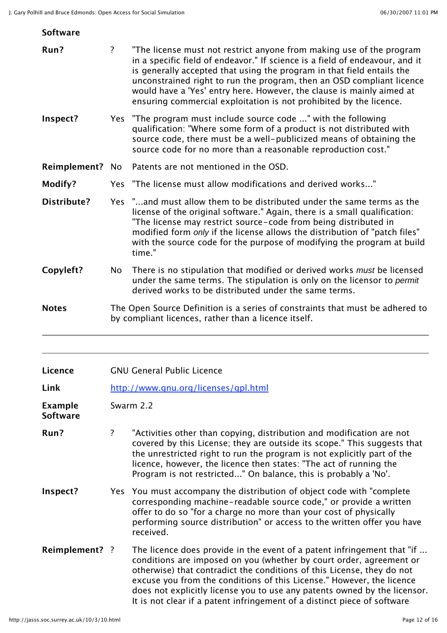#### **Software**

| Run?                              | ?              | "The license must not restrict anyone from making use of the program<br>in a specific field of endeavor." If science is a field of endeavour, and it<br>is generally accepted that using the program in that field entails the<br>unconstrained right to run the program, then an OSD compliant licence<br>would have a 'Yes' entry here. However, the clause is mainly aimed at<br>ensuring commercial exploitation is not prohibited by the licence.     |
|-----------------------------------|----------------|------------------------------------------------------------------------------------------------------------------------------------------------------------------------------------------------------------------------------------------------------------------------------------------------------------------------------------------------------------------------------------------------------------------------------------------------------------|
| Inspect?                          |                | Yes "The program must include source code " with the following<br>qualification: "Where some form of a product is not distributed with<br>source code, there must be a well-publicized means of obtaining the<br>source code for no more than a reasonable reproduction cost."                                                                                                                                                                             |
| Reimplement? No                   |                | Patents are not mentioned in the OSD.                                                                                                                                                                                                                                                                                                                                                                                                                      |
| Modify?                           |                | Yes "The license must allow modifications and derived works"                                                                                                                                                                                                                                                                                                                                                                                               |
| <b>Distribute?</b>                |                | Yes "and must allow them to be distributed under the same terms as the<br>license of the original software." Again, there is a small qualification:<br>"The license may restrict source-code from being distributed in<br>modified form only if the license allows the distribution of "patch files"<br>with the source code for the purpose of modifying the program at build<br>time."                                                                   |
| Copyleft?                         | No             | There is no stipulation that modified or derived works must be licensed<br>under the same terms. The stipulation is only on the licensor to permit<br>derived works to be distributed under the same terms.                                                                                                                                                                                                                                                |
| <b>Notes</b>                      |                | The Open Source Definition is a series of constraints that must be adhered to<br>by compliant licences, rather than a licence itself.                                                                                                                                                                                                                                                                                                                      |
|                                   |                |                                                                                                                                                                                                                                                                                                                                                                                                                                                            |
| Licence                           |                | <b>GNU General Public Licence</b>                                                                                                                                                                                                                                                                                                                                                                                                                          |
| Link                              |                | http://www.gnu.org/licenses/gpl.html                                                                                                                                                                                                                                                                                                                                                                                                                       |
| <b>Example</b><br><b>Software</b> |                | Swarm 2.2                                                                                                                                                                                                                                                                                                                                                                                                                                                  |
| Run?                              | $\overline{?}$ | "Activities other than copying, distribution and modification are not<br>covered by this License; they are outside its scope." This suggests that<br>the unrestricted right to run the program is not explicitly part of the<br>licence, however, the licence then states: "The act of running the<br>Program is not restricted" On balance, this is probably a 'No'.                                                                                      |
| Inspect?                          |                | Yes You must accompany the distribution of object code with "complete"<br>corresponding machine-readable source code," or provide a written<br>offer to do so "for a charge no more than your cost of physically<br>performing source distribution" or access to the written offer you have<br>received.                                                                                                                                                   |
| Reimplement? ?                    |                | The licence does provide in the event of a patent infringement that "if<br>conditions are imposed on you (whether by court order, agreement or<br>otherwise) that contradict the conditions of this License, they do not<br>excuse you from the conditions of this License." However, the licence<br>does not explicitly license you to use any patents owned by the licensor.<br>It is not clear if a patent infringement of a distinct piece of software |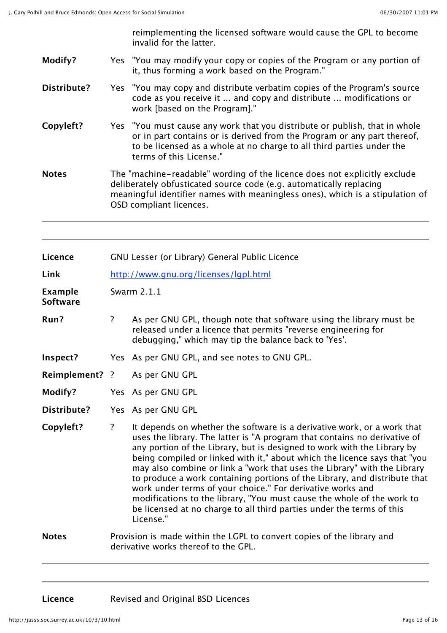reimplementing the licensed software would cause the GPL to become invalid for the latter.

- **Modify?** Yes "You may modify your copy or copies of the Program or any portion of it, thus forming a work based on the Program."
- **Distribute?** Yes "You may copy and distribute verbatim copies of the Program's source code as you receive it ... and copy and distribute ... modifications or work [based on the Program]."
- **Copyleft?** Yes "You must cause any work that you distribute or publish, that in whole or in part contains or is derived from the Program or any part thereof, to be licensed as a whole at no charge to all third parties under the terms of this License."
- **Notes** The "machine-readable" wording of the licence does not explicitly exclude deliberately obfusticated source code (e.g. automatically replacing meaningful identifier names with meaningless ones), which is a stipulation of OSD compliant licences.

| Licence                           |                | GNU Lesser (or Library) General Public Licence                                                                                                                                                                                                                                                                                                                                                                                                                                                                                                                                                                                                                                                      |
|-----------------------------------|----------------|-----------------------------------------------------------------------------------------------------------------------------------------------------------------------------------------------------------------------------------------------------------------------------------------------------------------------------------------------------------------------------------------------------------------------------------------------------------------------------------------------------------------------------------------------------------------------------------------------------------------------------------------------------------------------------------------------------|
| Link                              |                | http://www.gnu.org/licenses/lgpl.html                                                                                                                                                                                                                                                                                                                                                                                                                                                                                                                                                                                                                                                               |
| <b>Example</b><br><b>Software</b> |                | Swarm 2.1.1                                                                                                                                                                                                                                                                                                                                                                                                                                                                                                                                                                                                                                                                                         |
| Run?                              | $\overline{?}$ | As per GNU GPL, though note that software using the library must be<br>released under a licence that permits "reverse engineering for<br>debugging," which may tip the balance back to 'Yes'.                                                                                                                                                                                                                                                                                                                                                                                                                                                                                                       |
| Inspect?                          |                | Yes As per GNU GPL, and see notes to GNU GPL.                                                                                                                                                                                                                                                                                                                                                                                                                                                                                                                                                                                                                                                       |
| Reimplement? ?                    |                | As per GNU GPL                                                                                                                                                                                                                                                                                                                                                                                                                                                                                                                                                                                                                                                                                      |
| Modify?                           |                | Yes As per GNU GPL                                                                                                                                                                                                                                                                                                                                                                                                                                                                                                                                                                                                                                                                                  |
| Distribute?                       |                | Yes As per GNU GPL                                                                                                                                                                                                                                                                                                                                                                                                                                                                                                                                                                                                                                                                                  |
| Copyleft?                         | $\overline{?}$ | It depends on whether the software is a derivative work, or a work that<br>uses the library. The latter is "A program that contains no derivative of<br>any portion of the Library, but is designed to work with the Library by<br>being compiled or linked with it," about which the licence says that "you<br>may also combine or link a "work that uses the Library" with the Library<br>to produce a work containing portions of the Library, and distribute that<br>work under terms of your choice." For derivative works and<br>modifications to the library, "You must cause the whole of the work to<br>be licensed at no charge to all third parties under the terms of this<br>License." |
| <b>Notes</b>                      |                | Provision is made within the LGPL to convert copies of the library and<br>derivative works thereof to the GPL.                                                                                                                                                                                                                                                                                                                                                                                                                                                                                                                                                                                      |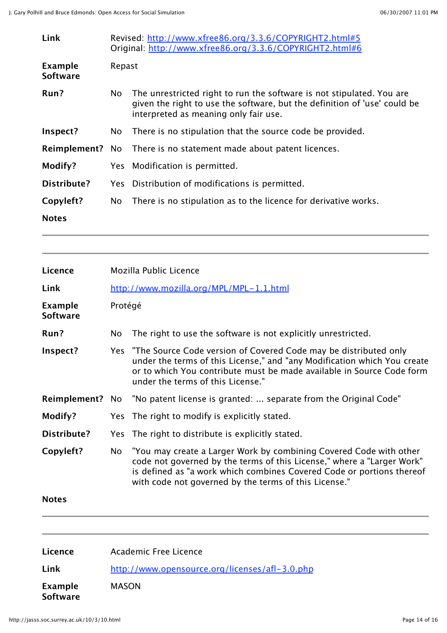| Link                              |        | Revised: http://www.xfree86.org/3.3.6/COPYRIGHT2.html#5<br>Original: http://www.xfree86.org/3.3.6/COPYRIGHT2.html#6                                                                         |
|-----------------------------------|--------|---------------------------------------------------------------------------------------------------------------------------------------------------------------------------------------------|
| <b>Example</b><br><b>Software</b> | Repast |                                                                                                                                                                                             |
| Run?                              | No     | The unrestricted right to run the software is not stipulated. You are<br>given the right to use the software, but the definition of 'use' could be<br>interpreted as meaning only fair use. |
| Inspect?                          | No.    | There is no stipulation that the source code be provided.                                                                                                                                   |
|                                   |        | <b>Reimplement?</b> No There is no statement made about patent licences.                                                                                                                    |
| Modify?                           |        | Yes Modification is permitted.                                                                                                                                                              |
| <b>Distribute?</b>                |        | Yes Distribution of modifications is permitted.                                                                                                                                             |
| Copyleft?                         | No.    | There is no stipulation as to the licence for derivative works.                                                                                                                             |
| <b>Notes</b>                      |        |                                                                                                                                                                                             |

| Licence                           |         | Mozilla Public Licence                                                                                                                                                                                                                                                         |
|-----------------------------------|---------|--------------------------------------------------------------------------------------------------------------------------------------------------------------------------------------------------------------------------------------------------------------------------------|
| Link                              |         | http://www.mozilla.org/MPL/MPL-1.1.html                                                                                                                                                                                                                                        |
| <b>Example</b><br><b>Software</b> | Protégé |                                                                                                                                                                                                                                                                                |
| Run?                              | No      | The right to use the software is not explicitly unrestricted.                                                                                                                                                                                                                  |
| Inspect?                          |         | Yes "The Source Code version of Covered Code may be distributed only<br>under the terms of this License," and "any Modification which You create<br>or to which You contribute must be made available in Source Code form<br>under the terms of this License."                 |
| Reimplement? No                   |         | "No patent license is granted:  separate from the Original Code"                                                                                                                                                                                                               |
| Modify?                           |         | Yes The right to modify is explicitly stated.                                                                                                                                                                                                                                  |
| <b>Distribute?</b>                | Yes     | The right to distribute is explicitly stated.                                                                                                                                                                                                                                  |
| Copyleft?                         | No      | "You may create a Larger Work by combining Covered Code with other<br>code not governed by the terms of this License," where a "Larger Work"<br>is defined as "a work which combines Covered Code or portions thereof<br>with code not governed by the terms of this License." |
| <b>Notes</b>                      |         |                                                                                                                                                                                                                                                                                |
| Licence                           |         | <b>Academic Free Licence</b>                                                                                                                                                                                                                                                   |
| l ink                             |         |                                                                                                                                                                                                                                                                                |

**Link** http://www.opensource.org/licenses/afl-3.0.php

**Example Software** MASON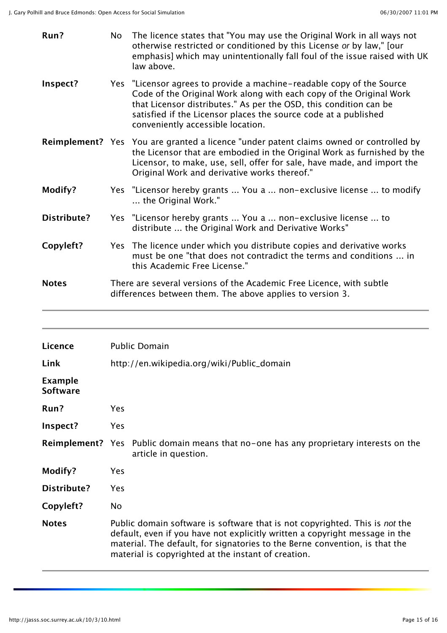| Run?                                      | No  | The licence states that "You may use the Original Work in all ways not<br>otherwise restricted or conditioned by this License or by law," [our<br>emphasis] which may unintentionally fall foul of the issue raised with UK<br>law above.                                                                                 |
|-------------------------------------------|-----|---------------------------------------------------------------------------------------------------------------------------------------------------------------------------------------------------------------------------------------------------------------------------------------------------------------------------|
| Inspect?                                  |     | Yes "Licensor agrees to provide a machine-readable copy of the Source<br>Code of the Original Work along with each copy of the Original Work<br>that Licensor distributes." As per the OSD, this condition can be<br>satisfied if the Licensor places the source code at a published<br>conveniently accessible location. |
|                                           |     | <b>Reimplement?</b> Yes You are granted a licence "under patent claims owned or controlled by<br>the Licensor that are embodied in the Original Work as furnished by the<br>Licensor, to make, use, sell, offer for sale, have made, and import the<br>Original Work and derivative works thereof."                       |
| Modify?                                   |     | Yes "Licensor hereby grants  You a  non-exclusive license  to modify<br>the Original Work."                                                                                                                                                                                                                               |
| <b>Distribute?</b>                        |     | Yes "Licensor hereby grants  You a  non-exclusive license  to<br>distribute  the Original Work and Derivative Works"                                                                                                                                                                                                      |
| Copyleft?                                 |     | Yes The licence under which you distribute copies and derivative works<br>must be one "that does not contradict the terms and conditions  in<br>this Academic Free License."                                                                                                                                              |
| <b>Notes</b>                              |     | There are several versions of the Academic Free Licence, with subtle<br>differences between them. The above applies to version 3.                                                                                                                                                                                         |
|                                           |     |                                                                                                                                                                                                                                                                                                                           |
|                                           |     |                                                                                                                                                                                                                                                                                                                           |
| Licence                                   |     | <b>Public Domain</b>                                                                                                                                                                                                                                                                                                      |
| Link<br><b>Example</b><br><b>Software</b> |     | http://en.wikipedia.org/wiki/Public_domain                                                                                                                                                                                                                                                                                |
| Run?                                      | Yes |                                                                                                                                                                                                                                                                                                                           |
| Inspect?                                  | Yes |                                                                                                                                                                                                                                                                                                                           |
| <b>Reimplement?</b> Yes                   |     | Public domain means that no-one has any proprietary interests on the<br>article in question.                                                                                                                                                                                                                              |
| Modify?                                   | Yes |                                                                                                                                                                                                                                                                                                                           |
| <b>Distribute?</b>                        | Yes |                                                                                                                                                                                                                                                                                                                           |
| Copyleft?                                 | No  |                                                                                                                                                                                                                                                                                                                           |

## default, even if you have not explicitly written a copyright message in the material. The default, for signatories to the Berne convention, is that the material is copyrighted at the instant of creation.